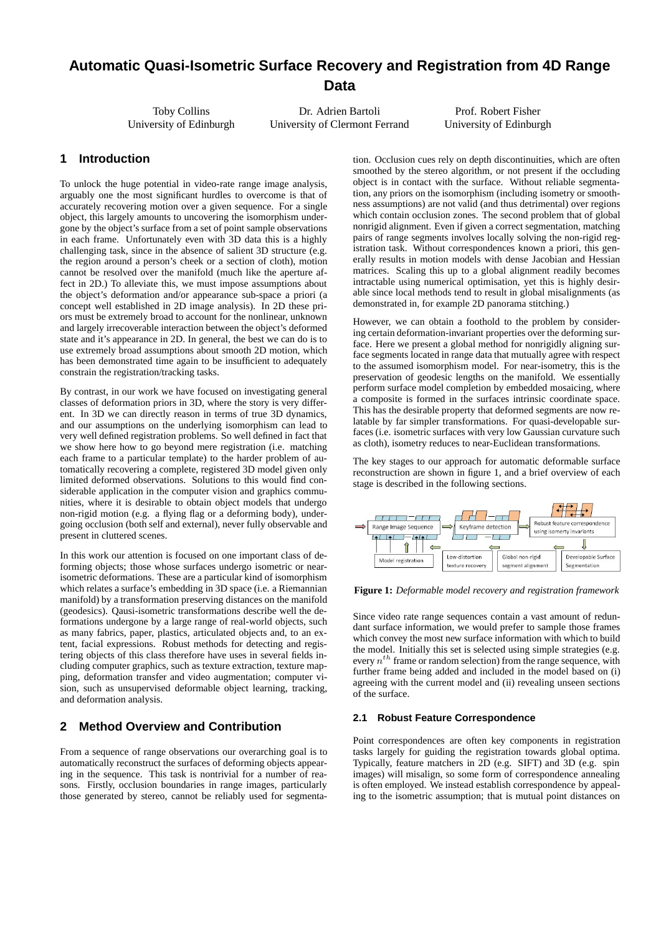# **Automatic Quasi-Isometric Surface Recovery and Registration from 4D Range Data**

Toby Collins University of Edinburgh

Dr. Adrien Bartoli University of Clermont Ferrand

Prof. Robert Fisher University of Edinburgh

## **1 Introduction**

To unlock the huge potential in video-rate range image analysis, arguably one the most significant hurdles to overcome is that of accurately recovering motion over a given sequence. For a single object, this largely amounts to uncovering the isomorphism undergone by the object's surface from a set of point sample observations in each frame. Unfortunately even with 3D data this is a highly challenging task, since in the absence of salient 3D structure (e.g. the region around a person's cheek or a section of cloth), motion cannot be resolved over the manifold (much like the aperture affect in 2D.) To alleviate this, we must impose assumptions about the object's deformation and/or appearance sub-space a priori (a concept well established in 2D image analysis). In 2D these priors must be extremely broad to account for the nonlinear, unknown and largely irrecoverable interaction between the object's deformed state and it's appearance in 2D. In general, the best we can do is to use extremely broad assumptions about smooth 2D motion, which has been demonstrated time again to be insufficient to adequately constrain the registration/tracking tasks.

By contrast, in our work we have focused on investigating general classes of deformation priors in 3D, where the story is very different. In 3D we can directly reason in terms of true 3D dynamics, and our assumptions on the underlying isomorphism can lead to very well defined registration problems. So well defined in fact that we show here how to go beyond mere registration (i.e. matching each frame to a particular template) to the harder problem of automatically recovering a complete, registered 3D model given only limited deformed observations. Solutions to this would find considerable application in the computer vision and graphics communities, where it is desirable to obtain object models that undergo non-rigid motion (e.g. a flying flag or a deforming body), undergoing occlusion (both self and external), never fully observable and present in cluttered scenes.

In this work our attention is focused on one important class of deforming objects; those whose surfaces undergo isometric or nearisometric deformations. These are a particular kind of isomorphism which relates a surface's embedding in 3D space (i.e. a Riemannian manifold) by a transformation preserving distances on the manifold (geodesics). Qausi-isometric transformations describe well the deformations undergone by a large range of real-world objects, such as many fabrics, paper, plastics, articulated objects and, to an extent, facial expressions. Robust methods for detecting and registering objects of this class therefore have uses in several fields including computer graphics, such as texture extraction, texture mapping, deformation transfer and video augmentation; computer vision, such as unsupervised deformable object learning, tracking, and deformation analysis.

## **2 Method Overview and Contribution**

From a sequence of range observations our overarching goal is to automatically reconstruct the surfaces of deforming objects appearing in the sequence. This task is nontrivial for a number of reasons. Firstly, occlusion boundaries in range images, particularly those generated by stereo, cannot be reliably used for segmentation. Occlusion cues rely on depth discontinuities, which are often smoothed by the stereo algorithm, or not present if the occluding object is in contact with the surface. Without reliable segmentation, any priors on the isomorphism (including isometry or smoothness assumptions) are not valid (and thus detrimental) over regions which contain occlusion zones. The second problem that of global nonrigid alignment. Even if given a correct segmentation, matching pairs of range segments involves locally solving the non-rigid registration task. Without correspondences known a priori, this generally results in motion models with dense Jacobian and Hessian matrices. Scaling this up to a global alignment readily becomes intractable using numerical optimisation, yet this is highly desirable since local methods tend to result in global misalignments (as demonstrated in, for example 2D panorama stitching.)

However, we can obtain a foothold to the problem by considering certain deformation-invariant properties over the deforming surface. Here we present a global method for nonrigidly aligning surface segments located in range data that mutually agree with respect to the assumed isomorphism model. For near-isometry, this is the preservation of geodesic lengths on the manifold. We essentially perform surface model completion by embedded mosaicing, where a composite is formed in the surfaces intrinsic coordinate space. This has the desirable property that deformed segments are now relatable by far simpler transformations. For quasi-developable surfaces (i.e. isometric surfaces with very low Gaussian curvature such as cloth), isometry reduces to near-Euclidean transformations.

The key stages to our approach for automatic deformable surface reconstruction are shown in figure 1, and a brief overview of each stage is described in the following sections.



**Figure 1:** *Deformable model recovery and registration framework*

Since video rate range sequences contain a vast amount of redundant surface information, we would prefer to sample those frames which convey the most new surface information with which to build the model. Initially this set is selected using simple strategies (e.g. every *nth* frame or random selection) from the range sequence, with further frame being added and included in the model based on (i) agreeing with the current model and (ii) revealing unseen sections of the surface.

#### **2.1 Robust Feature Correspondence**

Point correspondences are often key components in registration tasks largely for guiding the registration towards global optima. Typically, feature matchers in 2D (e.g. SIFT) and 3D (e.g. spin images) will misalign, so some form of correspondence annealing is often employed. We instead establish correspondence by appealing to the isometric assumption; that is mutual point distances on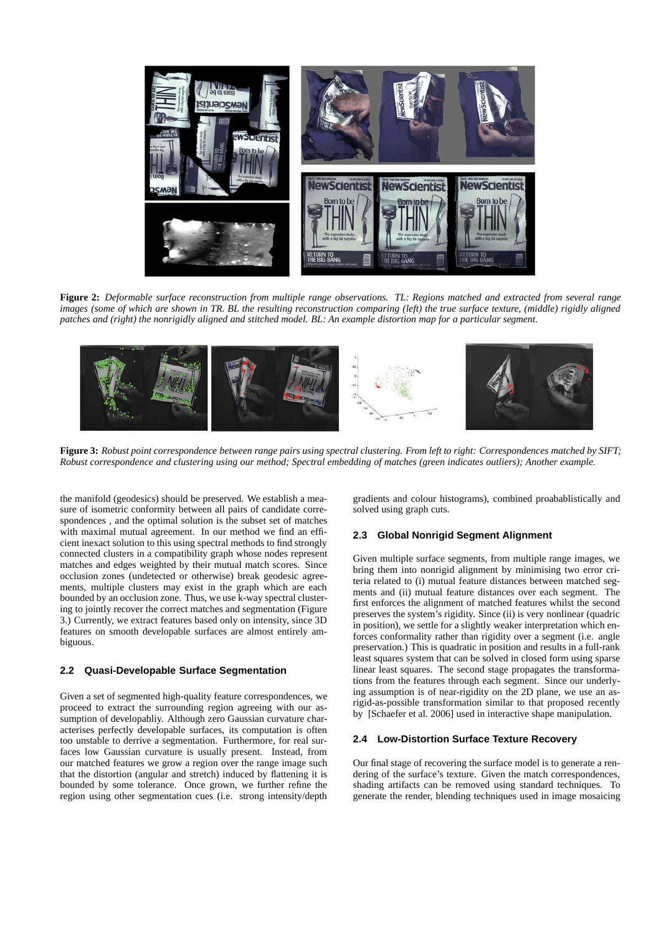

**Figure 2:** *Deformable surface reconstruction from multiple range observations. TL: Regions matched and extracted from several range images (some of which are shown in TR. BL the resulting reconstruction comparing (left) the true surface texture, (middle) rigidly aligned patches and (right) the nonrigidly aligned and stitched model. BL: An example distortion map for a particular segment.*



**Figure 3:** *Robust point correspondence between range pairs using spectral clustering. From left to right: Correspondences matched by SIFT; Robust correspondence and clustering using our method; Spectral embedding of matches (green indicates outliers); Another example.*

the manifold (geodesics) should be preserved. We establish a measure of isometric conformity between all pairs of candidate correspondences , and the optimal solution is the subset set of matches with maximal mutual agreement. In our method we find an efficient inexact solution to this using spectral methods to find strongly connected clusters in a compatibility graph whose nodes represent matches and edges weighted by their mutual match scores. Since occlusion zones (undetected or otherwise) break geodesic agreements, multiple clusters may exist in the graph which are each bounded by an occlusion zone. Thus, we use k-way spectral clustering to jointly recover the correct matches and segmentation (Figure 3.) Currently, we extract features based only on intensity, since 3D features on smooth developable surfaces are almost entirely ambiguous.

#### **2.2 Quasi-Developable Surface Segmentation**

Given a set of segmented high-quality feature correspondences, we proceed to extract the surrounding region agreeing with our assumption of developabliy. Although zero Gaussian curvature characterises perfectly developable surfaces, its computation is often too unstable to derrive a segmentation. Furthermore, for real surfaces low Gaussian curvature is usually present. Instead, from our matched features we grow a region over the range image such that the distortion (angular and stretch) induced by flattening it is bounded by some tolerance. Once grown, we further refine the region using other segmentation cues (i.e. strong intensity/depth gradients and colour histograms), combined proabablistically and solved using graph cuts.

#### **2.3 Global Nonrigid Segment Alignment**

Given multiple surface segments, from multiple range images, we bring them into nonrigid alignment by minimising two error criteria related to (i) mutual feature distances between matched segments and (ii) mutual feature distances over each segment. The first enforces the alignment of matched features whilst the second preserves the system's rigidity. Since (ii) is very nonlinear (quadric in position), we settle for a slightly weaker interpretation which enforces conformality rather than rigidity over a segment (i.e. angle preservation.) This is quadratic in position and results in a full-rank least squares system that can be solved in closed form using sparse linear least squares. The second stage propagates the transformations from the features through each segment. Since our underlying assumption is of near-rigidity on the 2D plane, we use an asrigid-as-possible transformation similar to that proposed recently by [Schaefer et al. 2006] used in interactive shape manipulation.

#### **2.4 Low-Distortion Surface Texture Recovery**

Our final stage of recovering the surface model is to generate a rendering of the surface's texture. Given the match correspondences, shading artifacts can be removed using standard techniques. To generate the render, blending techniques used in image mosaicing